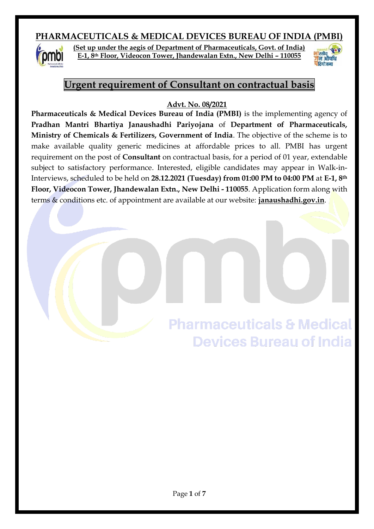# **PHARMACEUTICALS & MEDICAL DEVICES BUREAU OF INDIA (PMBI)**



**(Set up under the aegis of Department of Pharmaceuticals, Govt. of India) E-1, 8th Floor, Videocon Tower, Jhandewalan Extn., New Delhi – 110055**



# **Urgent requirement of Consultant on contractual basis**

#### **Advt. No. 08/2021**

**Pharmaceuticals & Medical Devices Bureau of India (PMBI)** is the implementing agency of **Pradhan Mantri Bhartiya Janaushadhi Pariyojana** of **Department of Pharmaceuticals, Ministry of Chemicals & Fertilizers, Government of India**. The objective of the scheme is to make available quality generic medicines at affordable prices to all. PMBI has urgent requirement on the post of **Consultant** on contractual basis, for a period of 01 year, extendable subject to satisfactory performance. Interested, eligible candidates may appear in Walk-in-Interviews, scheduled to be held on **28.12.2021 (Tuesday) from 01:00 PM to 04:00 PM** at **E-1, 8th Floor, Videocon Tower, Jhandewalan Extn., New Delhi - 110055**. Application form along with terms & conditions etc. of appointment are available at our website: **janaushadhi.gov.in**.

> **Pharmaceuticals & Medical Devices Bureau of India**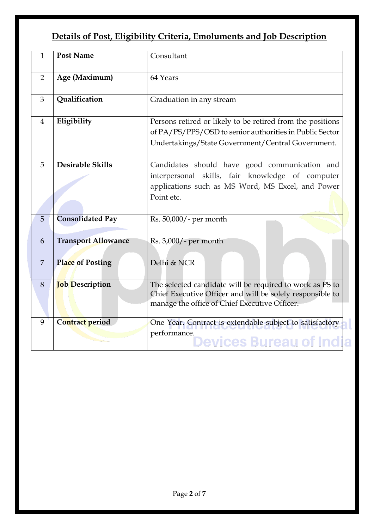# **Details of Post, Eligibility Criteria, Emoluments and Job Description**

| $\mathbf{1}$   | <b>Post Name</b>           | Consultant                                                                                                                                                                 |
|----------------|----------------------------|----------------------------------------------------------------------------------------------------------------------------------------------------------------------------|
| 2              | Age (Maximum)              | 64 Years                                                                                                                                                                   |
| 3              | Qualification              | Graduation in any stream                                                                                                                                                   |
| $\overline{4}$ | Eligibility                | Persons retired or likely to be retired from the positions<br>of PA/PS/PPS/OSD to senior authorities in Public Sector<br>Undertakings/State Government/Central Government. |
| 5              | <b>Desirable Skills</b>    | Candidates should have good communication and<br>interpersonal skills, fair knowledge of computer<br>applications such as MS Word, MS Excel, and Power<br>Point etc.       |
| 5              | <b>Consolidated Pay</b>    | Rs. 50,000/- per month                                                                                                                                                     |
| 6              | <b>Transport Allowance</b> | Rs. 3,000/- per month                                                                                                                                                      |
| 7              | <b>Place of Posting</b>    | Delhi & NCR                                                                                                                                                                |
| 8              | <b>Job</b> Description     | The selected candidate will be required to work as PS to<br>Chief Executive Officer and will be solely responsible to<br>manage the office of Chief Executive Officer.     |
| 9              | Contract period            | One Year. Contract is extendable subject to satisfactory<br>performance.<br>Devices Bureau of India                                                                        |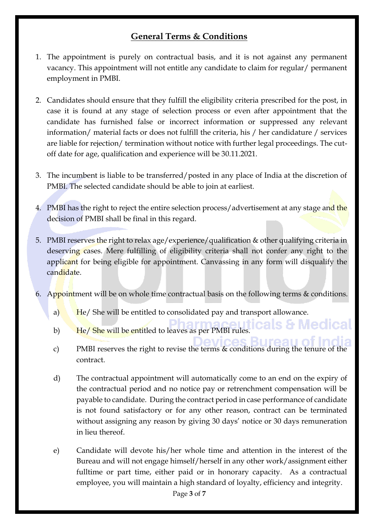# **General Terms & Conditions**

- 1. The appointment is purely on contractual basis, and it is not against any permanent vacancy. This appointment will not entitle any candidate to claim for regular/ permanent employment in PMBI.
- 2. Candidates should ensure that they fulfill the eligibility criteria prescribed for the post, in case it is found at any stage of selection process or even after appointment that the candidate has furnished false or incorrect information or suppressed any relevant information/ material facts or does not fulfill the criteria, his / her candidature / services are liable for rejection/ termination without notice with further legal proceedings. The cutoff date for age, qualification and experience will be 30.11.2021.
- 3. The incumbent is liable to be transferred/posted in any place of India at the discretion of PMBI. The selected candidate should be able to join at earliest.
- 4. PMBI has the right to reject the entire selection process/advertisement at any stage and the decision of PMBI shall be final in this regard.
- 5. PMBI reserves the right to relax age/experience/qualification & other qualifying criteria in deserving cases. Mere fulfilling of eligibility criteria shall not confer any right to the applicant for being eligible for appointment. Canvassing in any form will disqualify the candidate.
- 6. Appointment will be on whole time contractual basis on the following terms & conditions.
	- a) He/ She will be entitled to consolidated pay and transport allowance.
	- b) He/ She will be entitled to leaves as per PMBI rules.
	- c) PMBI reserves the right to revise the terms & conditions during the tenure of the contract.

s & Medical

- d) The contractual appointment will automatically come to an end on the expiry of the contractual period and no notice pay or retrenchment compensation will be payable to candidate. During the contract period in case performance of candidate is not found satisfactory or for any other reason, contract can be terminated without assigning any reason by giving 30 days' notice or 30 days remuneration in lieu thereof.
- e) Candidate will devote his/her whole time and attention in the interest of the Bureau and will not engage himself/herself in any other work/assignment either fulltime or part time, either paid or in honorary capacity. As a contractual employee, you will maintain a high standard of loyalty, efficiency and integrity.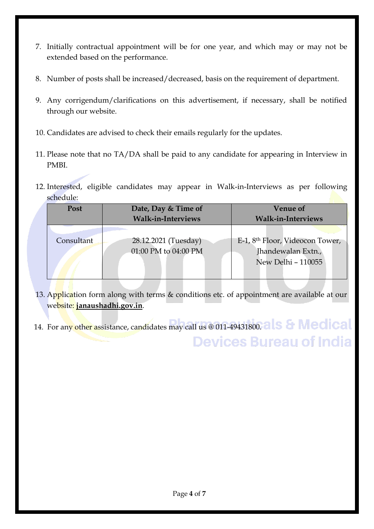- 7. Initially contractual appointment will be for one year, and which may or may not be extended based on the performance.
- 8. Number of posts shall be increased/decreased, basis on the requirement of department.
- 9. Any corrigendum/clarifications on this advertisement, if necessary, shall be notified through our website.
- 10. Candidates are advised to check their emails regularly for the updates.
- 11. Please note that no TA/DA shall be paid to any candidate for appearing in Interview in PMBI.
- 12. Interested, eligible candidates may appear in Walk-in-Interviews as per following schedule:

| Post       | Date, Day & Time of                          | <b>Venue of</b>                                                                         |  |  |
|------------|----------------------------------------------|-----------------------------------------------------------------------------------------|--|--|
|            | <b>Walk-in-Interviews</b>                    | <b>Walk-in-Interviews</b>                                                               |  |  |
| Consultant | 28.12.2021 (Tuesday)<br>01:00 PM to 04:00 PM | E-1, 8 <sup>th</sup> Floor, Videocon Tower,<br>Jhandewalan Extn.,<br>New Delhi - 110055 |  |  |

- 13. Application form along with terms & conditions etc. of appointment are available at our website: **janaushadhi.gov.in**.
- 14. For any other assistance, candidates may call us @ 011-49431800. als & Medical **Devices Bureau of India**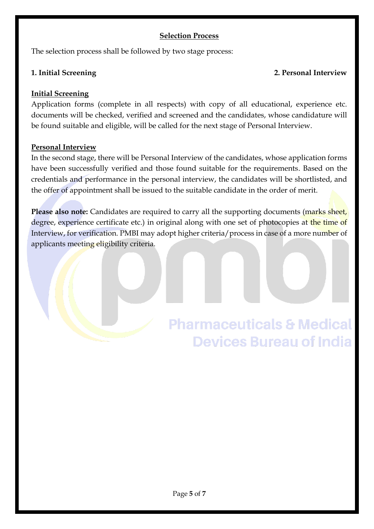#### **Selection Process**

The selection process shall be followed by two stage process:

## **1. Initial Screening 2. Personal Interview**

# **Initial Screening**

Application forms (complete in all respects) with copy of all educational, experience etc. documents will be checked, verified and screened and the candidates, whose candidature will be found suitable and eligible, will be called for the next stage of Personal Interview.

## **Personal Interview**

In the second stage, there will be Personal Interview of the candidates, whose application forms have been successfully verified and those found suitable for the requirements. Based on the credentials and performance in the personal interview, the candidates will be shortlisted, and the offer of appointment shall be issued to the suitable candidate in the order of merit.

**Please also note:** Candidates are required to carry all the supporting documents (marks sheet, degree, experience certificate etc.) in original along with one set of photocopies at the time of Interview, for verification. PMBI may adopt higher criteria/process in case of a more number of applicants meeting eligibility criteria.

# **Pharmaceuticals & Medical Devices Bureau of India**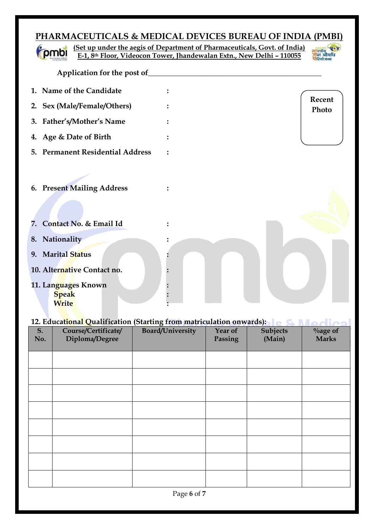# **PHARMACEUTICALS & MEDICAL DEVICES BUREAU OF INDIA (PMBI)**

|                                              |                                  | (Set up under the aegis of Department of Pharmaceuticals, Govt. of India) |                 |
|----------------------------------------------|----------------------------------|---------------------------------------------------------------------------|-----------------|
|                                              |                                  | E-1, 8th Floor, Videocon Tower, Jhandewalan Extn., New Delhi - 110055     |                 |
|                                              | Application for the post of      |                                                                           |                 |
|                                              | 1. Name of the Candidate         |                                                                           |                 |
|                                              | 2. Sex (Male/Female/Others)      |                                                                           | Recent<br>Photo |
|                                              | 3. Father's/Mother's Name        |                                                                           |                 |
|                                              | 4. Age & Date of Birth           |                                                                           |                 |
|                                              | 5. Permanent Residential Address |                                                                           |                 |
|                                              | 6. Present Mailing Address       |                                                                           |                 |
| 7.                                           | Contact No. & Email Id           |                                                                           |                 |
| 8. Nationality                               |                                  |                                                                           |                 |
| 9. Marital Status                            | 10. Alternative Contact no.      |                                                                           |                 |
| 11. Languages Known<br><b>Speak</b><br>Write |                                  |                                                                           |                 |

# **12. Educational Qualification (Starting from matriculation onwards):**

×

| S.  | 12. Examining gainman (Standing Hom man calanon on water).<br>Course/Certificate/ | Board/University | Year of | <b>Subjects</b> | $\%$ age of  |
|-----|-----------------------------------------------------------------------------------|------------------|---------|-----------------|--------------|
| No. | Diploma/Degree                                                                    |                  | Passing | (Main)          | <b>Marks</b> |
|     |                                                                                   |                  |         |                 |              |
|     |                                                                                   |                  |         |                 |              |
|     |                                                                                   |                  |         |                 |              |
|     |                                                                                   |                  |         |                 |              |
|     |                                                                                   |                  |         |                 |              |
|     |                                                                                   |                  |         |                 |              |
|     |                                                                                   |                  |         |                 |              |
|     |                                                                                   |                  |         |                 |              |
|     |                                                                                   |                  |         |                 |              |
|     |                                                                                   |                  |         |                 |              |
|     |                                                                                   |                  |         |                 |              |
|     |                                                                                   |                  |         |                 |              |
|     |                                                                                   |                  |         |                 |              |
|     |                                                                                   |                  |         |                 |              |